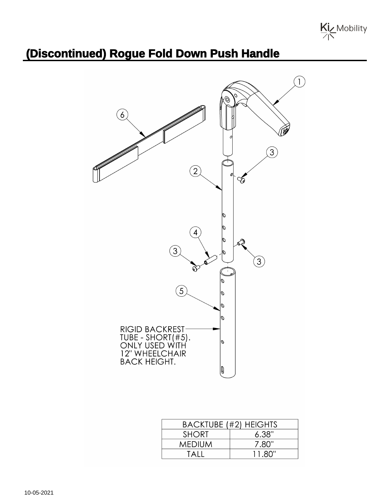

## **(Discontinued) Rogue Fold Down Push Handle**



| <b>BACKTUBE (#2) HEIGHTS</b> |        |
|------------------------------|--------|
| <b>SHORT</b>                 | 6.38"  |
| <b>MEDIUM</b>                | 7.80"  |
| TAII                         | 11 80" |